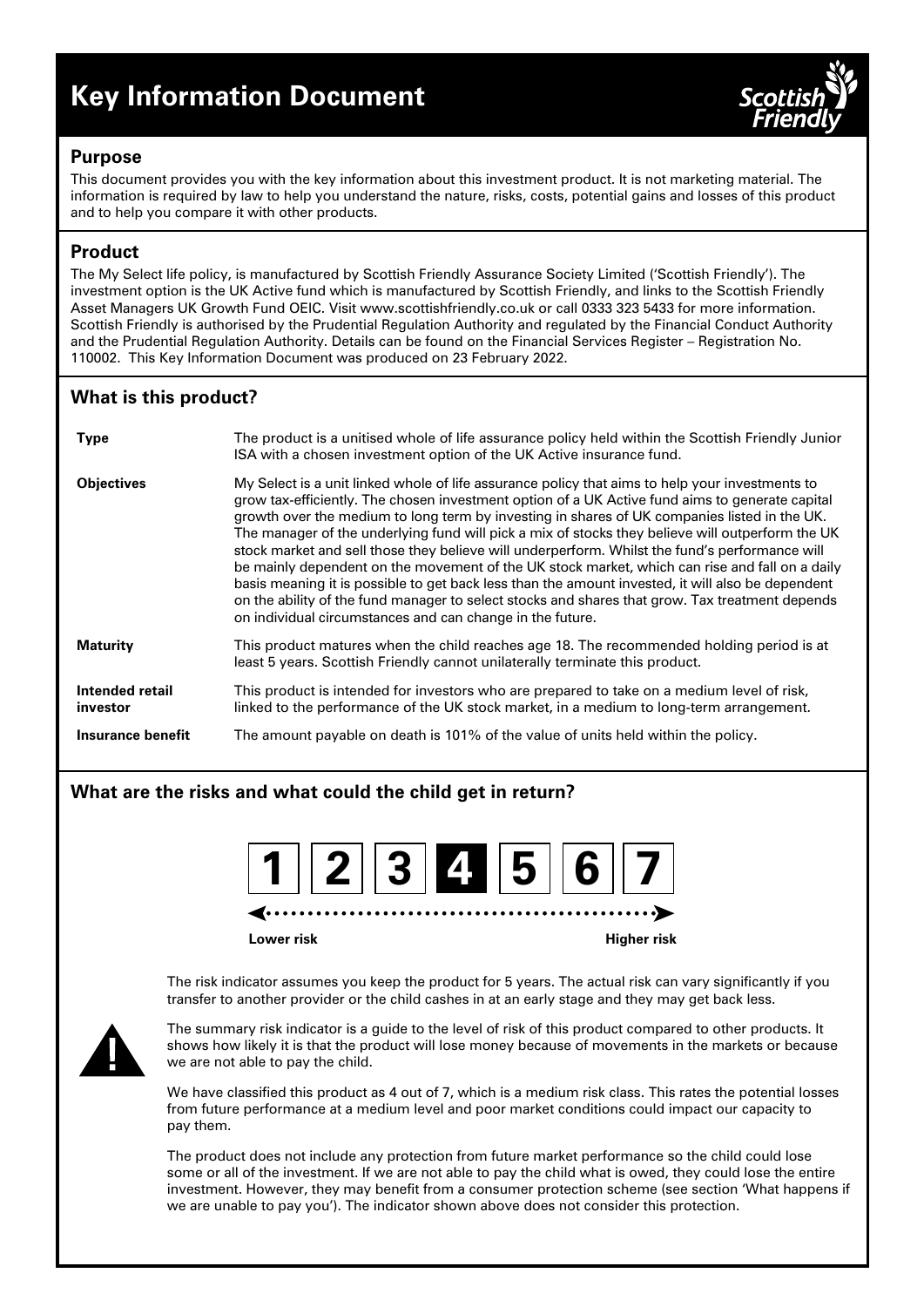# **Key Information Document**



## **Purpose**

This document provides you with the key information about this investment product. It is not marketing material. The information is required by law to help you understand the nature, risks, costs, potential gains and losses of this product and to help you compare it with other products.

# **Product**

The My Select life policy, is manufactured by Scottish Friendly Assurance Society Limited ('Scottish Friendly'). The investment option is the UK Active fund which is manufactured by Scottish Friendly, and links to the Scottish Friendly Asset Managers UK Growth Fund OEIC. Visit www.scottishfriendly.co.uk or call 0333 323 5433 for more information. Scottish Friendly is authorised by the Prudential Regulation Authority and regulated by the Financial Conduct Authority and the Prudential Regulation Authority. Details can be found on the Financial Services Register – Registration No. 110002. This Key Information Document was produced on 23 February 2022.

# **What is this product?**

| <b>Type</b>                 | The product is a unitised whole of life assurance policy held within the Scottish Friendly Junior<br>ISA with a chosen investment option of the UK Active insurance fund.                                                                                                                                                                                                                                                                                                                                                                                                                                                                                                                                                                                                                                                                                                       |
|-----------------------------|---------------------------------------------------------------------------------------------------------------------------------------------------------------------------------------------------------------------------------------------------------------------------------------------------------------------------------------------------------------------------------------------------------------------------------------------------------------------------------------------------------------------------------------------------------------------------------------------------------------------------------------------------------------------------------------------------------------------------------------------------------------------------------------------------------------------------------------------------------------------------------|
| <b>Objectives</b>           | My Select is a unit linked whole of life assurance policy that aims to help your investments to<br>grow tax-efficiently. The chosen investment option of a UK Active fund aims to generate capital<br>growth over the medium to long term by investing in shares of UK companies listed in the UK.<br>The manager of the underlying fund will pick a mix of stocks they believe will outperform the UK<br>stock market and sell those they believe will underperform. Whilst the fund's performance will<br>be mainly dependent on the movement of the UK stock market, which can rise and fall on a daily<br>basis meaning it is possible to get back less than the amount invested, it will also be dependent<br>on the ability of the fund manager to select stocks and shares that grow. Tax treatment depends<br>on individual circumstances and can change in the future. |
| <b>Maturity</b>             | This product matures when the child reaches age 18. The recommended holding period is at<br>least 5 years. Scottish Friendly cannot unilaterally terminate this product.                                                                                                                                                                                                                                                                                                                                                                                                                                                                                                                                                                                                                                                                                                        |
| Intended retail<br>investor | This product is intended for investors who are prepared to take on a medium level of risk,<br>linked to the performance of the UK stock market, in a medium to long-term arrangement.                                                                                                                                                                                                                                                                                                                                                                                                                                                                                                                                                                                                                                                                                           |
| Insurance benefit           | The amount payable on death is 101% of the value of units held within the policy.                                                                                                                                                                                                                                                                                                                                                                                                                                                                                                                                                                                                                                                                                                                                                                                               |

## **What are the risks and what could the child get in return?**

| 1234567 |
|---------|
|---------|

**Lower risk Higher risk**

The risk indicator assumes you keep the product for 5 years. The actual risk can vary significantly if you transfer to another provider or the child cashes in at an early stage and they may get back less.



The summary risk indicator is a guide to the level of risk of this product compared to other products. It shows how likely it is that the product will lose money because of movements in the markets or because we are not able to pay the child.

We have classified this product as 4 out of 7, which is a medium risk class. This rates the potential losses from future performance at a medium level and poor market conditions could impact our capacity to pay them.

The product does not include any protection from future market performance so the child could lose some or all of the investment. If we are not able to pay the child what is owed, they could lose the entire investment. However, they may benefit from a consumer protection scheme (see section 'What happens if we are unable to pay you'). The indicator shown above does not consider this protection.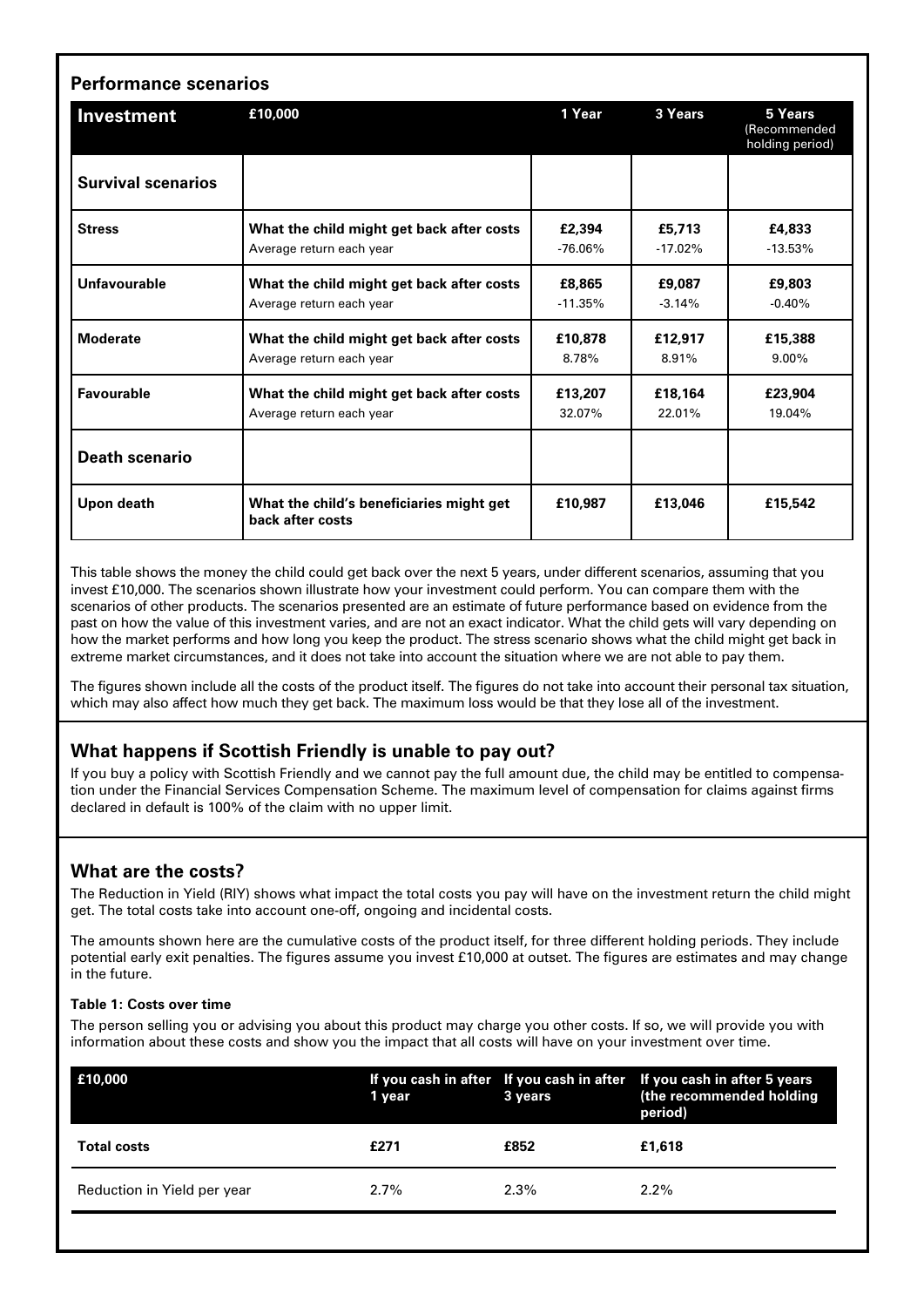| <b>Performance scenarios</b> |                                                                       |                     |                     |                                            |  |  |
|------------------------------|-----------------------------------------------------------------------|---------------------|---------------------|--------------------------------------------|--|--|
| Investment                   | £10,000                                                               | 1 Year              | 3 Years             | 5 Years<br>(Recommended<br>holding period) |  |  |
| <b>Survival scenarios</b>    |                                                                       |                     |                     |                                            |  |  |
| <b>Stress</b>                | What the child might get back after costs<br>Average return each year | £2,394<br>$-76.06%$ | £5,713<br>$-17.02%$ | £4,833<br>$-13.53%$                        |  |  |
| Unfavourable                 | What the child might get back after costs<br>Average return each year | £8,865<br>$-11.35%$ | £9.087<br>$-3.14%$  | £9,803<br>$-0.40%$                         |  |  |
| <b>Moderate</b>              | What the child might get back after costs<br>Average return each year | £10,878<br>8.78%    | £12,917<br>8.91%    | £15,388<br>$9.00\%$                        |  |  |
| Favourable                   | What the child might get back after costs<br>Average return each year | £13,207<br>32.07%   | £18.164<br>22.01%   | £23.904<br>19.04%                          |  |  |
| <b>Death scenario</b>        |                                                                       |                     |                     |                                            |  |  |
| Upon death                   | What the child's beneficiaries might get<br>back after costs          | £10.987             | £13.046             | £15,542                                    |  |  |

This table shows the money the child could get back over the next 5 years, under different scenarios, assuming that you invest £10,000. The scenarios shown illustrate how your investment could perform. You can compare them with the scenarios of other products. The scenarios presented are an estimate of future performance based on evidence from the past on how the value of this investment varies, and are not an exact indicator. What the child gets will vary depending on how the market performs and how long you keep the product. The stress scenario shows what the child might get back in extreme market circumstances, and it does not take into account the situation where we are not able to pay them.

The figures shown include all the costs of the product itself. The figures do not take into account their personal tax situation, which may also affect how much they get back. The maximum loss would be that they lose all of the investment.

## **What happens if Scottish Friendly is unable to pay out?**

If you buy a policy with Scottish Friendly and we cannot pay the full amount due, the child may be entitled to compensation under the Financial Services Compensation Scheme. The maximum level of compensation for claims against firms declared in default is 100% of the claim with no upper limit.

## **What are the costs?**

The Reduction in Yield (RIY) shows what impact the total costs you pay will have on the investment return the child might get. The total costs take into account one-off, ongoing and incidental costs.

The amounts shown here are the cumulative costs of the product itself, for three different holding periods. They include potential early exit penalties. The figures assume you invest £10,000 at outset. The figures are estimates and may change in the future.

#### **Table 1: Costs over time**

The person selling you or advising you about this product may charge you other costs. If so, we will provide you with information about these costs and show you the impact that all costs will have on your investment over time.

| E10,000                     | 1 year  | 3 years | If you cash in after If you cash in after If you cash in after 5 years<br>(the recommended holding<br>period) |
|-----------------------------|---------|---------|---------------------------------------------------------------------------------------------------------------|
| <b>Total costs</b>          | £271    | £852    | £1.618                                                                                                        |
| Reduction in Yield per year | $2.7\%$ | $2.3\%$ | $2.2\%$                                                                                                       |